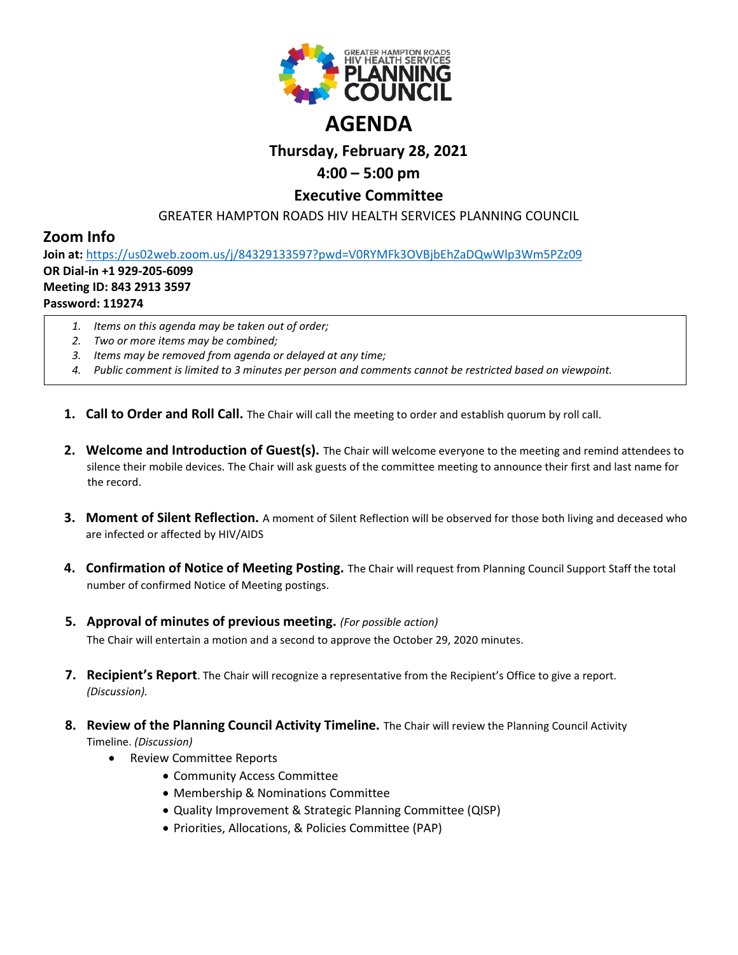

# **Thursday, February 28, 2021**

## **4:00 – 5:00 pm**

### **Executive Committee**

GREATER HAMPTON ROADS HIV HEALTH SERVICES PLANNING COUNCIL

### **Zoom Info**

**Join at:** <https://us02web.zoom.us/j/84329133597?pwd=V0RYMFk3OVBjbEhZaDQwWlp3Wm5PZz09> **OR Dial-in +1 929-205-6099 Meeting ID: 843 2913 3597**

#### **Password: 119274**

- *1. Items on this agenda may be taken out of order;*
- *2. Two or more items may be combined;*
- *3. Items may be removed from agenda or delayed at any time;*
- *4. Public comment is limited to 3 minutes per person and comments cannot be restricted based on viewpoint.*
- **1. Call to Order and Roll Call.** The Chair will call the meeting to order and establish quorum by roll call.
- **2. Welcome and Introduction of Guest(s).** The Chair will welcome everyone to the meeting and remind attendees to silence their mobile devices. The Chair will ask guests of the committee meeting to announce their first and last name for the record.
- **3. Moment of Silent Reflection.** A moment of Silent Reflection will be observed for those both living and deceased who are infected or affected by HIV/AIDS
- **4. Confirmation of Notice of Meeting Posting.** The Chair will request from Planning Council Support Staff the total number of confirmed Notice of Meeting postings.
- **5. Approval of minutes of previous meeting.** *(For possible action)*

The Chair will entertain a motion and a second to approve the October 29, 2020 minutes.

- **7. Recipient's Report**. The Chair will recognize a representative from the Recipient's Office to give a report. *(Discussion).*
- **8. Review of the Planning Council Activity Timeline.** The Chair will review the Planning Council Activity Timeline. *(Discussion)*
	- Review Committee Reports
		- Community Access Committee
		- Membership & Nominations Committee
		- Quality Improvement & Strategic Planning Committee (QISP)
		- Priorities, Allocations, & Policies Committee (PAP)